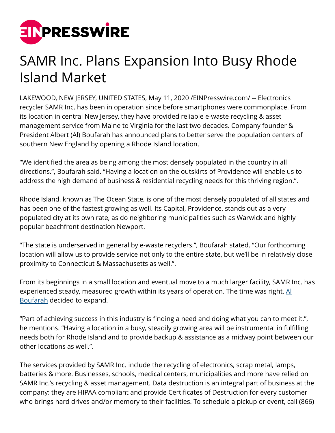

## SAMR Inc. Plans Expansion Into Busy Rhode Island Market

LAKEWOOD, NEW JERSEY, UNITED STATES, May 11, 2020 /[EINPresswire.com](http://www.einpresswire.com)/ -- Electronics recycler SAMR Inc. has been in operation since before smartphones were commonplace. From its location in central New Jersey, they have provided reliable e-waste recycling & asset management service from Maine to Virginia for the last two decades. Company founder & President Albert (Al) Boufarah has announced plans to better serve the population centers of southern New England by opening a Rhode Island location.

"We identified the area as being among the most densely populated in the country in all directions.", Boufarah said. "Having a location on the outskirts of Providence will enable us to address the high demand of business & residential recycling needs for this thriving region.".

Rhode Island, known as The Ocean State, is one of the most densely populated of all states and has been one of the fastest growing as well. Its Capital, Providence, stands out as a very populated city at its own rate, as do neighboring municipalities such as Warwick and highly popular beachfront destination Newport.

"The state is underserved in general by e-waste recyclers.", Boufarah stated. "Our forthcoming location will allow us to provide service not only to the entire state, but we'll be in relatively close proximity to Connecticut & Massachusetts as well.".

From its beginnings in a small location and eventual move to a much larger facility, SAMR Inc. has experienced steady, measured growth within its years of operation. The time was right,  $\underline{Al}$  $\underline{Al}$  $\underline{Al}$ [Boufarah](http://albertboufarah.com/) decided to expand.

"Part of achieving success in this industry is finding a need and doing what you can to meet it.", he mentions. "Having a location in a busy, steadily growing area will be instrumental in fulfilling needs both for Rhode Island and to provide backup & assistance as a midway point between our other locations as well.".

The services provided by SAMR Inc. include the recycling of electronics, scrap metal, lamps, batteries & more. Businesses, schools, medical centers, municipalities and more have relied on SAMR Inc.'s recycling & asset management. Data destruction is an integral part of business at the company: they are HIPAA compliant and provide Certificates of Destruction for every customer who brings hard drives and/or memory to their facilities. To schedule a pickup or event, call (866)